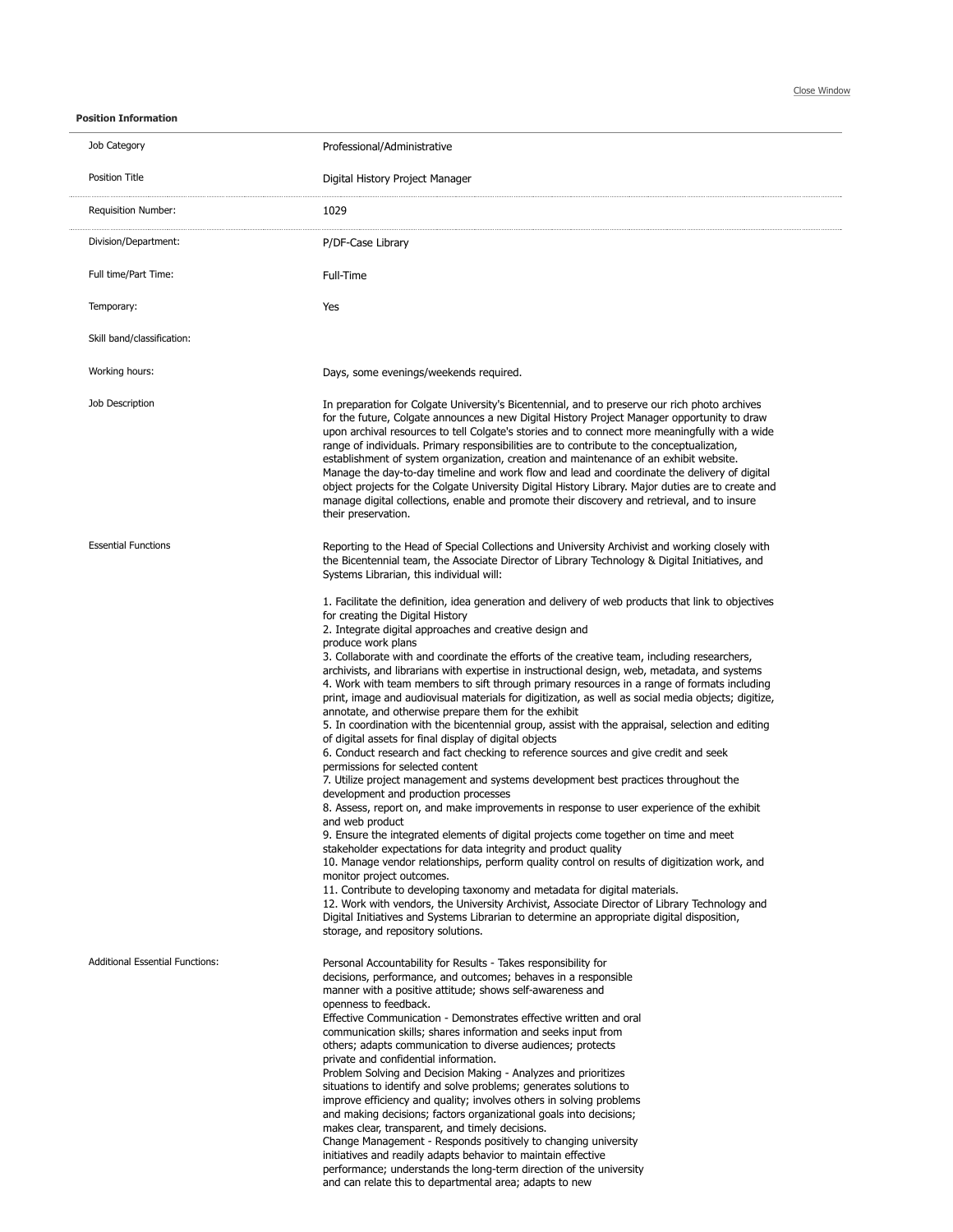**Position Information**

| Job Category                           | Professional/Administrative                                                                                                                                                                                                                                                                                                                                                                                                                                                                                                                                                                                                                                                                                                                                                                                                                                                                                                                                                                                                                                                                                                                                                                                                                                                                                                                                                                                                                                                                                                                                                                                                                                                                                                                                                                                                              |
|----------------------------------------|------------------------------------------------------------------------------------------------------------------------------------------------------------------------------------------------------------------------------------------------------------------------------------------------------------------------------------------------------------------------------------------------------------------------------------------------------------------------------------------------------------------------------------------------------------------------------------------------------------------------------------------------------------------------------------------------------------------------------------------------------------------------------------------------------------------------------------------------------------------------------------------------------------------------------------------------------------------------------------------------------------------------------------------------------------------------------------------------------------------------------------------------------------------------------------------------------------------------------------------------------------------------------------------------------------------------------------------------------------------------------------------------------------------------------------------------------------------------------------------------------------------------------------------------------------------------------------------------------------------------------------------------------------------------------------------------------------------------------------------------------------------------------------------------------------------------------------------|
| Position Title                         | Digital History Project Manager                                                                                                                                                                                                                                                                                                                                                                                                                                                                                                                                                                                                                                                                                                                                                                                                                                                                                                                                                                                                                                                                                                                                                                                                                                                                                                                                                                                                                                                                                                                                                                                                                                                                                                                                                                                                          |
| Requisition Number:                    | 1029                                                                                                                                                                                                                                                                                                                                                                                                                                                                                                                                                                                                                                                                                                                                                                                                                                                                                                                                                                                                                                                                                                                                                                                                                                                                                                                                                                                                                                                                                                                                                                                                                                                                                                                                                                                                                                     |
| Division/Department:                   | P/DF-Case Library                                                                                                                                                                                                                                                                                                                                                                                                                                                                                                                                                                                                                                                                                                                                                                                                                                                                                                                                                                                                                                                                                                                                                                                                                                                                                                                                                                                                                                                                                                                                                                                                                                                                                                                                                                                                                        |
| Full time/Part Time:                   | Full-Time                                                                                                                                                                                                                                                                                                                                                                                                                                                                                                                                                                                                                                                                                                                                                                                                                                                                                                                                                                                                                                                                                                                                                                                                                                                                                                                                                                                                                                                                                                                                                                                                                                                                                                                                                                                                                                |
| Temporary:                             | Yes                                                                                                                                                                                                                                                                                                                                                                                                                                                                                                                                                                                                                                                                                                                                                                                                                                                                                                                                                                                                                                                                                                                                                                                                                                                                                                                                                                                                                                                                                                                                                                                                                                                                                                                                                                                                                                      |
| Skill band/classification:             |                                                                                                                                                                                                                                                                                                                                                                                                                                                                                                                                                                                                                                                                                                                                                                                                                                                                                                                                                                                                                                                                                                                                                                                                                                                                                                                                                                                                                                                                                                                                                                                                                                                                                                                                                                                                                                          |
| Working hours:                         | Days, some evenings/weekends required.                                                                                                                                                                                                                                                                                                                                                                                                                                                                                                                                                                                                                                                                                                                                                                                                                                                                                                                                                                                                                                                                                                                                                                                                                                                                                                                                                                                                                                                                                                                                                                                                                                                                                                                                                                                                   |
| Job Description                        | In preparation for Colgate University's Bicentennial, and to preserve our rich photo archives<br>for the future, Colgate announces a new Digital History Project Manager opportunity to draw<br>upon archival resources to tell Colgate's stories and to connect more meaningfully with a wide<br>range of individuals. Primary responsibilities are to contribute to the conceptualization,<br>establishment of system organization, creation and maintenance of an exhibit website.<br>Manage the day-to-day timeline and work flow and lead and coordinate the delivery of digital<br>object projects for the Colgate University Digital History Library. Major duties are to create and<br>manage digital collections, enable and promote their discovery and retrieval, and to insure<br>their preservation.                                                                                                                                                                                                                                                                                                                                                                                                                                                                                                                                                                                                                                                                                                                                                                                                                                                                                                                                                                                                                        |
| <b>Essential Functions</b>             | Reporting to the Head of Special Collections and University Archivist and working closely with<br>the Bicentennial team, the Associate Director of Library Technology & Digital Initiatives, and<br>Systems Librarian, this individual will:                                                                                                                                                                                                                                                                                                                                                                                                                                                                                                                                                                                                                                                                                                                                                                                                                                                                                                                                                                                                                                                                                                                                                                                                                                                                                                                                                                                                                                                                                                                                                                                             |
|                                        | 1. Facilitate the definition, idea generation and delivery of web products that link to objectives<br>for creating the Digital History<br>2. Integrate digital approaches and creative design and<br>produce work plans<br>3. Collaborate with and coordinate the efforts of the creative team, including researchers,<br>archivists, and librarians with expertise in instructional design, web, metadata, and systems<br>4. Work with team members to sift through primary resources in a range of formats including<br>print, image and audiovisual materials for digitization, as well as social media objects; digitize,<br>annotate, and otherwise prepare them for the exhibit<br>5. In coordination with the bicentennial group, assist with the appraisal, selection and editing<br>of digital assets for final display of digital objects<br>6. Conduct research and fact checking to reference sources and give credit and seek<br>permissions for selected content<br>7. Utilize project management and systems development best practices throughout the<br>development and production processes<br>8. Assess, report on, and make improvements in response to user experience of the exhibit<br>and web product<br>9. Ensure the integrated elements of digital projects come together on time and meet<br>stakeholder expectations for data integrity and product quality<br>10. Manage vendor relationships, perform quality control on results of digitization work, and<br>monitor project outcomes.<br>11. Contribute to developing taxonomy and metadata for digital materials.<br>12. Work with vendors, the University Archivist, Associate Director of Library Technology and<br>Digital Initiatives and Systems Librarian to determine an appropriate digital disposition,<br>storage, and repository solutions. |
| <b>Additional Essential Functions:</b> | Personal Accountability for Results - Takes responsibility for<br>decisions, performance, and outcomes; behaves in a responsible<br>manner with a positive attitude; shows self-awareness and<br>openness to feedback.<br>Effective Communication - Demonstrates effective written and oral<br>communication skills; shares information and seeks input from<br>others; adapts communication to diverse audiences; protects<br>private and confidential information.<br>Problem Solving and Decision Making - Analyzes and prioritizes<br>situations to identify and solve problems; generates solutions to<br>improve efficiency and quality; involves others in solving problems<br>and making decisions; factors organizational goals into decisions;<br>makes clear, transparent, and timely decisions.<br>Change Management - Responds positively to changing university<br>initiatives and readily adapts behavior to maintain effective<br>performance; understands the long-term direction of the university<br>and can relate this to departmental area; adapts to new                                                                                                                                                                                                                                                                                                                                                                                                                                                                                                                                                                                                                                                                                                                                                          |